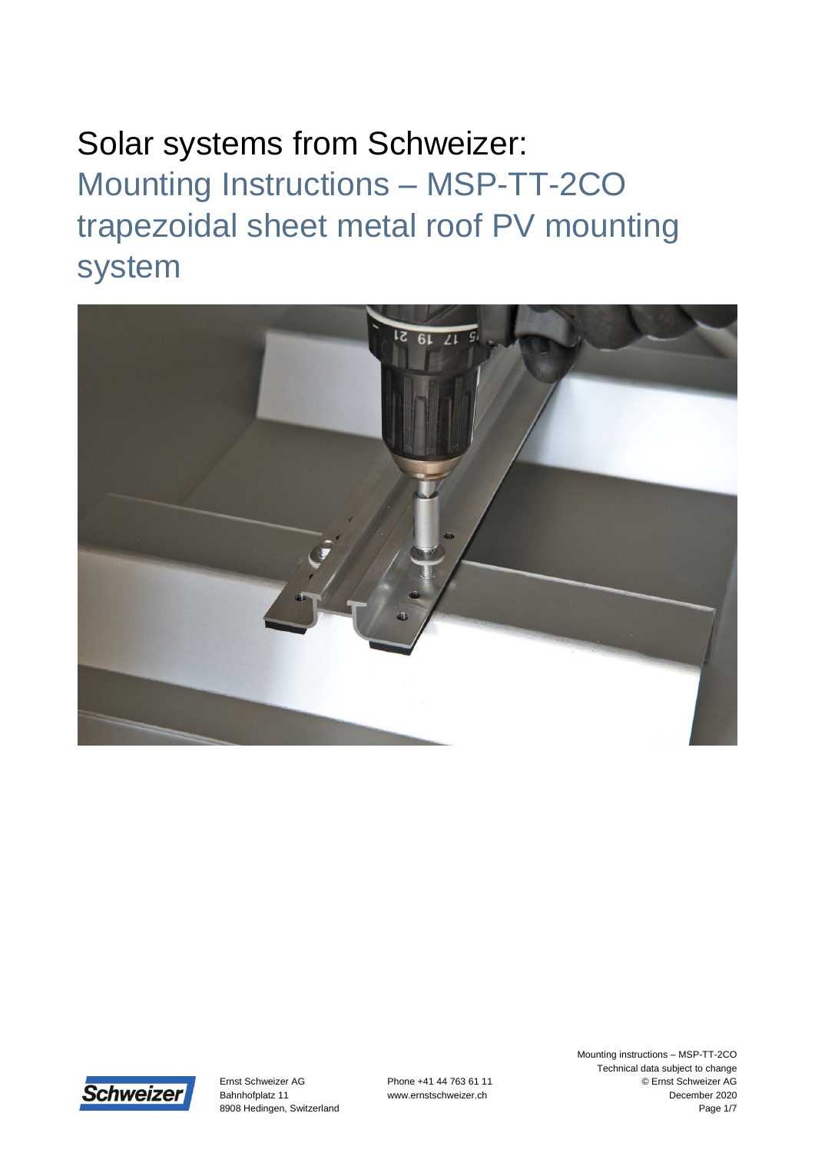



Ernst Schweizer AG Bahnhofplatz 11 8908 Hedingen, Switzerland Phone +41 44 763 61 11 www.ernstschweizer.ch

Mounting instructions – MSP-TT-2CO Technical data subject to change © Ernst Schweizer AG December 2020 Page 1/7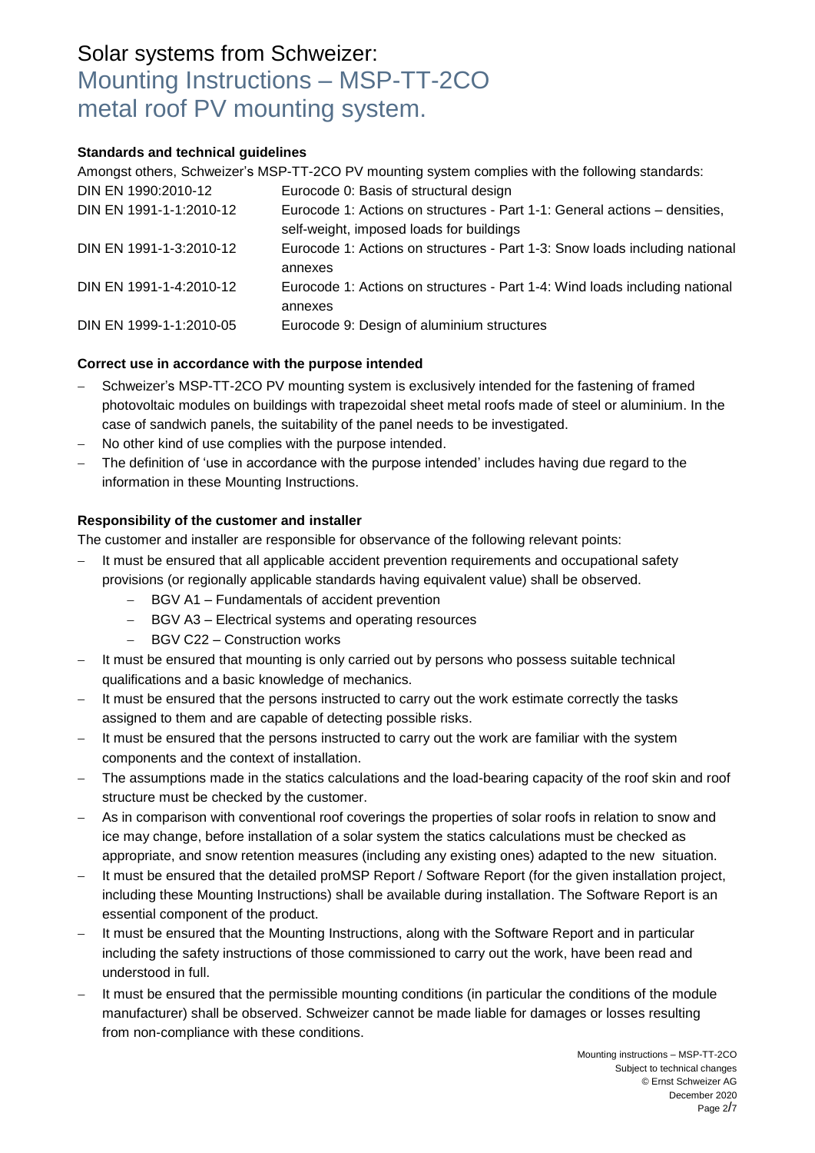#### **Standards and technical guidelines**

Amongst others, Schweizer's MSP-TT-2CO PV mounting system complies with the following standards:

| DIN EN 1990:2010-12     | Eurocode 0: Basis of structural design                                                                                 |
|-------------------------|------------------------------------------------------------------------------------------------------------------------|
| DIN EN 1991-1-1:2010-12 | Eurocode 1: Actions on structures - Part 1-1: General actions – densities,<br>self-weight, imposed loads for buildings |
| DIN EN 1991-1-3:2010-12 | Eurocode 1: Actions on structures - Part 1-3: Snow loads including national<br>annexes                                 |
| DIN EN 1991-1-4:2010-12 | Eurocode 1: Actions on structures - Part 1-4: Wind loads including national<br>annexes                                 |
| DIN EN 1999-1-1:2010-05 | Eurocode 9: Design of aluminium structures                                                                             |

#### **Correct use in accordance with the purpose intended**

- Schweizer's MSP-TT-2CO PV mounting system is exclusively intended for the fastening of framed photovoltaic modules on buildings with trapezoidal sheet metal roofs made of steel or aluminium. In the case of sandwich panels, the suitability of the panel needs to be investigated.
- No other kind of use complies with the purpose intended.
- The definition of 'use in accordance with the purpose intended' includes having due regard to the information in these Mounting Instructions.

#### **Responsibility of the customer and installer**

The customer and installer are responsible for observance of the following relevant points:

- It must be ensured that all applicable accident prevention requirements and occupational safety provisions (or regionally applicable standards having equivalent value) shall be observed.
	- BGV A1 Fundamentals of accident prevention
	- BGV A3 Electrical systems and operating resources
	- BGV C22 Construction works
- It must be ensured that mounting is only carried out by persons who possess suitable technical qualifications and a basic knowledge of mechanics.
- It must be ensured that the persons instructed to carry out the work estimate correctly the tasks assigned to them and are capable of detecting possible risks.
- It must be ensured that the persons instructed to carry out the work are familiar with the system components and the context of installation.
- The assumptions made in the statics calculations and the load-bearing capacity of the roof skin and roof structure must be checked by the customer.
- As in comparison with conventional roof coverings the properties of solar roofs in relation to snow and ice may change, before installation of a solar system the statics calculations must be checked as appropriate, and snow retention measures (including any existing ones) adapted to the new situation.
- It must be ensured that the detailed proMSP Report / Software Report (for the given installation project, including these Mounting Instructions) shall be available during installation. The Software Report is an essential component of the product.
- It must be ensured that the Mounting Instructions, along with the Software Report and in particular including the safety instructions of those commissioned to carry out the work, have been read and understood in full.
- It must be ensured that the permissible mounting conditions (in particular the conditions of the module manufacturer) shall be observed. Schweizer cannot be made liable for damages or losses resulting from non-compliance with these conditions.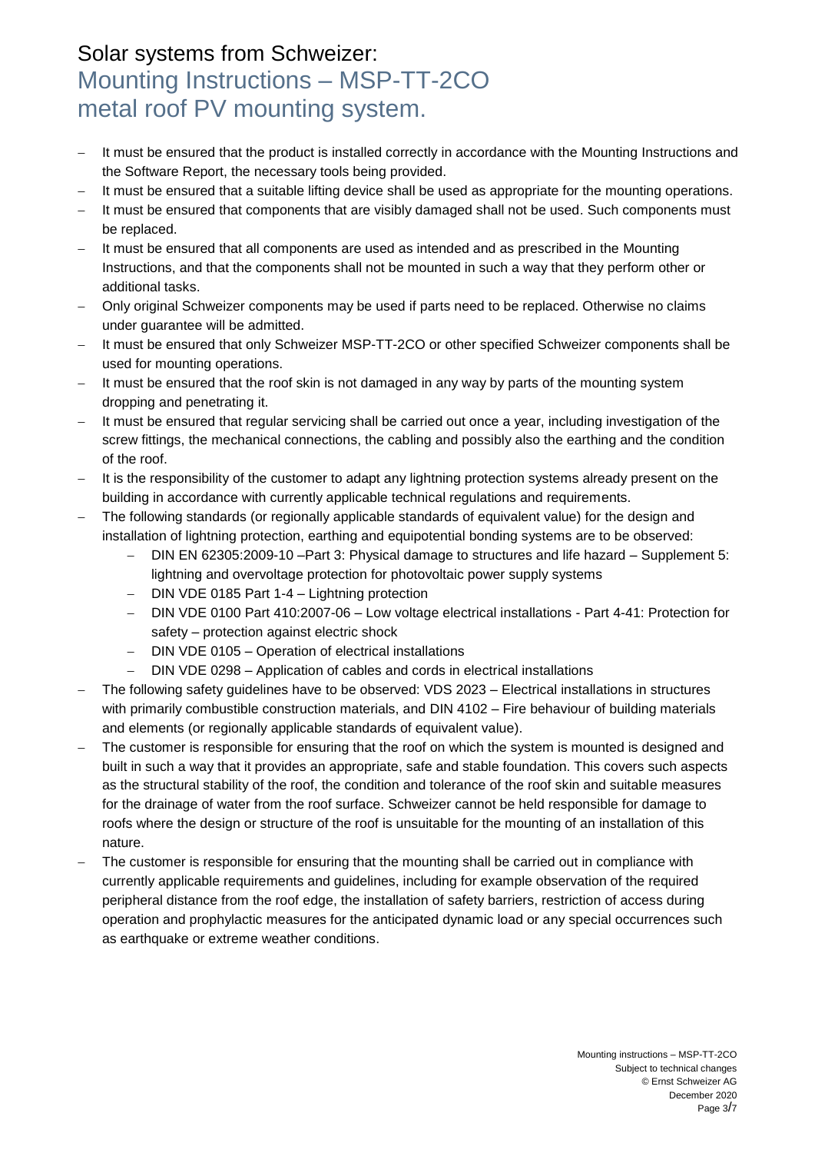- It must be ensured that the product is installed correctly in accordance with the Mounting Instructions and the Software Report, the necessary tools being provided.
- It must be ensured that a suitable lifting device shall be used as appropriate for the mounting operations.
- It must be ensured that components that are visibly damaged shall not be used. Such components must be replaced.
- It must be ensured that all components are used as intended and as prescribed in the Mounting Instructions, and that the components shall not be mounted in such a way that they perform other or additional tasks.
- Only original Schweizer components may be used if parts need to be replaced. Otherwise no claims under guarantee will be admitted.
- It must be ensured that only Schweizer MSP-TT-2CO or other specified Schweizer components shall be used for mounting operations.
- It must be ensured that the roof skin is not damaged in any way by parts of the mounting system dropping and penetrating it.
- It must be ensured that regular servicing shall be carried out once a year, including investigation of the screw fittings, the mechanical connections, the cabling and possibly also the earthing and the condition of the roof.
- It is the responsibility of the customer to adapt any lightning protection systems already present on the building in accordance with currently applicable technical regulations and requirements.
- The following standards (or regionally applicable standards of equivalent value) for the design and installation of lightning protection, earthing and equipotential bonding systems are to be observed:
	- DIN EN 62305:2009-10 –Part 3: Physical damage to structures and life hazard Supplement 5: lightning and overvoltage protection for photovoltaic power supply systems
	- DIN VDE 0185 Part 1-4 Lightning protection
	- DIN VDE 0100 Part 410:2007-06 Low voltage electrical installations Part 4-41: Protection for safety – protection against electric shock
	- DIN VDE 0105 Operation of electrical installations
	- DIN VDE 0298 Application of cables and cords in electrical installations
- The following safety guidelines have to be observed: VDS 2023 Electrical installations in structures with primarily combustible construction materials, and DIN 4102 – Fire behaviour of building materials and elements (or regionally applicable standards of equivalent value).
- The customer is responsible for ensuring that the roof on which the system is mounted is designed and built in such a way that it provides an appropriate, safe and stable foundation. This covers such aspects as the structural stability of the roof, the condition and tolerance of the roof skin and suitable measures for the drainage of water from the roof surface. Schweizer cannot be held responsible for damage to roofs where the design or structure of the roof is unsuitable for the mounting of an installation of this nature.
- The customer is responsible for ensuring that the mounting shall be carried out in compliance with currently applicable requirements and guidelines, including for example observation of the required peripheral distance from the roof edge, the installation of safety barriers, restriction of access during operation and prophylactic measures for the anticipated dynamic load or any special occurrences such as earthquake or extreme weather conditions.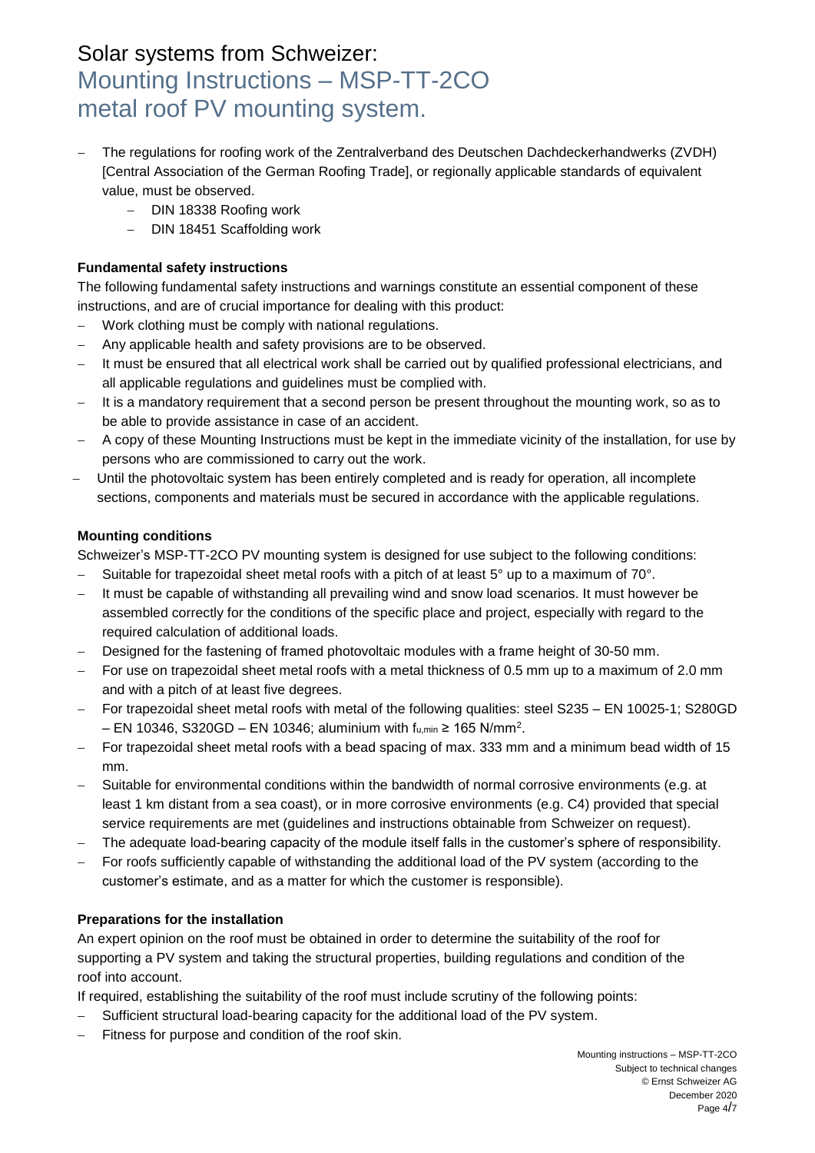- The regulations for roofing work of the Zentralverband des Deutschen Dachdeckerhandwerks (ZVDH) [Central Association of the German Roofing Trade], or regionally applicable standards of equivalent value, must be observed.
	- DIN 18338 Roofing work
	- DIN 18451 Scaffolding work

### **Fundamental safety instructions**

The following fundamental safety instructions and warnings constitute an essential component of these instructions, and are of crucial importance for dealing with this product:

- Work clothing must be comply with national regulations.
- Any applicable health and safety provisions are to be observed.
- It must be ensured that all electrical work shall be carried out by qualified professional electricians, and all applicable regulations and guidelines must be complied with.
- It is a mandatory requirement that a second person be present throughout the mounting work, so as to be able to provide assistance in case of an accident.
- A copy of these Mounting Instructions must be kept in the immediate vicinity of the installation, for use by persons who are commissioned to carry out the work.
- Until the photovoltaic system has been entirely completed and is ready for operation, all incomplete sections, components and materials must be secured in accordance with the applicable regulations.

#### **Mounting conditions**

Schweizer's MSP-TT-2CO PV mounting system is designed for use subject to the following conditions:

- $-$  Suitable for trapezoidal sheet metal roofs with a pitch of at least 5° up to a maximum of 70°.
- It must be capable of withstanding all prevailing wind and snow load scenarios. It must however be assembled correctly for the conditions of the specific place and project, especially with regard to the required calculation of additional loads.
- Designed for the fastening of framed photovoltaic modules with a frame height of 30-50 mm.
- For use on trapezoidal sheet metal roofs with a metal thickness of 0.5 mm up to a maximum of 2.0 mm and with a pitch of at least five degrees.
- For trapezoidal sheet metal roofs with metal of the following qualities: steel S235 EN 10025-1; S280GD  $-$  EN 10346, S320GD  $-$  EN 10346; aluminium with fս,min ≥ 165 N/mm².
- For trapezoidal sheet metal roofs with a bead spacing of max. 333 mm and a minimum bead width of 15 mm.
- Suitable for environmental conditions within the bandwidth of normal corrosive environments (e.g. at least 1 km distant from a sea coast), or in more corrosive environments (e.g. C4) provided that special service requirements are met (guidelines and instructions obtainable from Schweizer on request).
- The adequate load-bearing capacity of the module itself falls in the customer's sphere of responsibility.
- For roofs sufficiently capable of withstanding the additional load of the PV system (according to the customer's estimate, and as a matter for which the customer is responsible).

#### **Preparations for the installation**

An expert opinion on the roof must be obtained in order to determine the suitability of the roof for supporting a PV system and taking the structural properties, building regulations and condition of the roof into account.

If required, establishing the suitability of the roof must include scrutiny of the following points:

- Sufficient structural load-bearing capacity for the additional load of the PV system.
- Fitness for purpose and condition of the roof skin.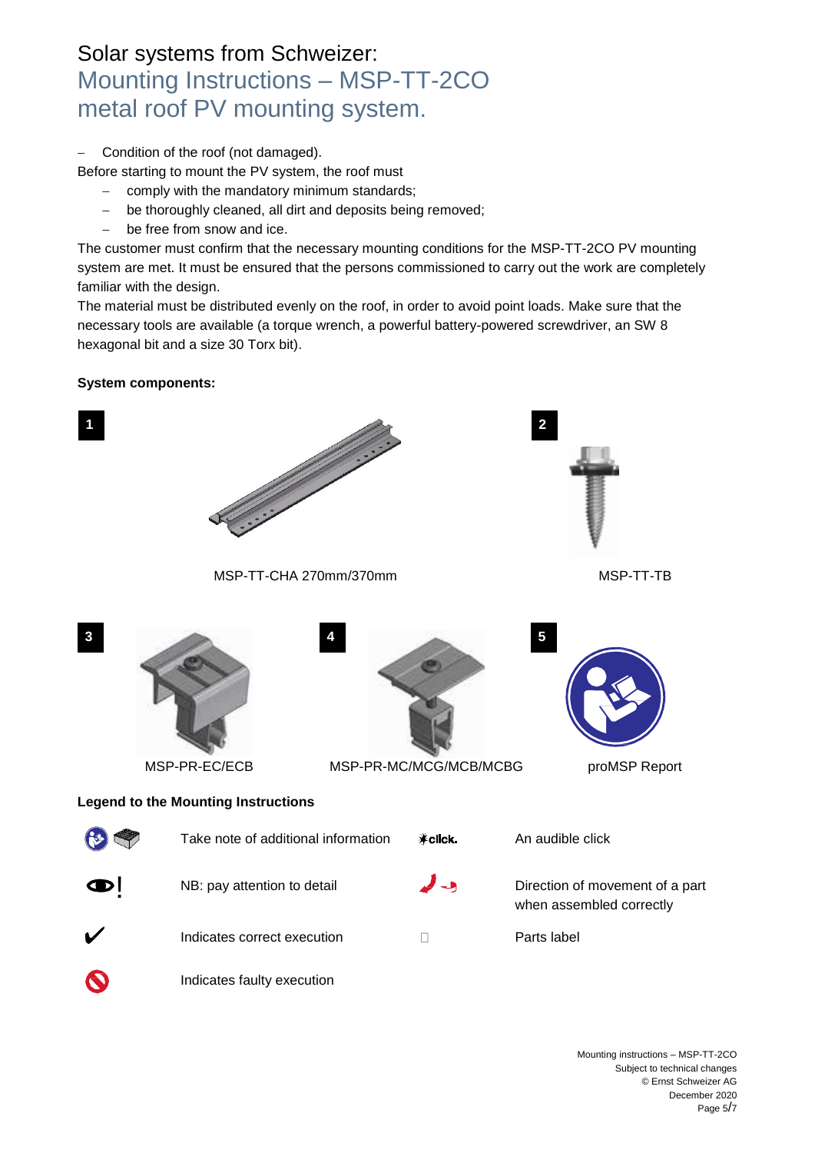Condition of the roof (not damaged).

Before starting to mount the PV system, the roof must

- comply with the mandatory minimum standards;
- be thoroughly cleaned, all dirt and deposits being removed;
- be free from snow and ice.

The customer must confirm that the necessary mounting conditions for the MSP-TT-2CO PV mounting system are met. It must be ensured that the persons commissioned to carry out the work are completely familiar with the design.

The material must be distributed evenly on the roof, in order to avoid point loads. Make sure that the necessary tools are available (a torque wrench, a powerful battery-powered screwdriver, an SW 8 hexagonal bit and a size 30 Torx bit).

### **System components:**

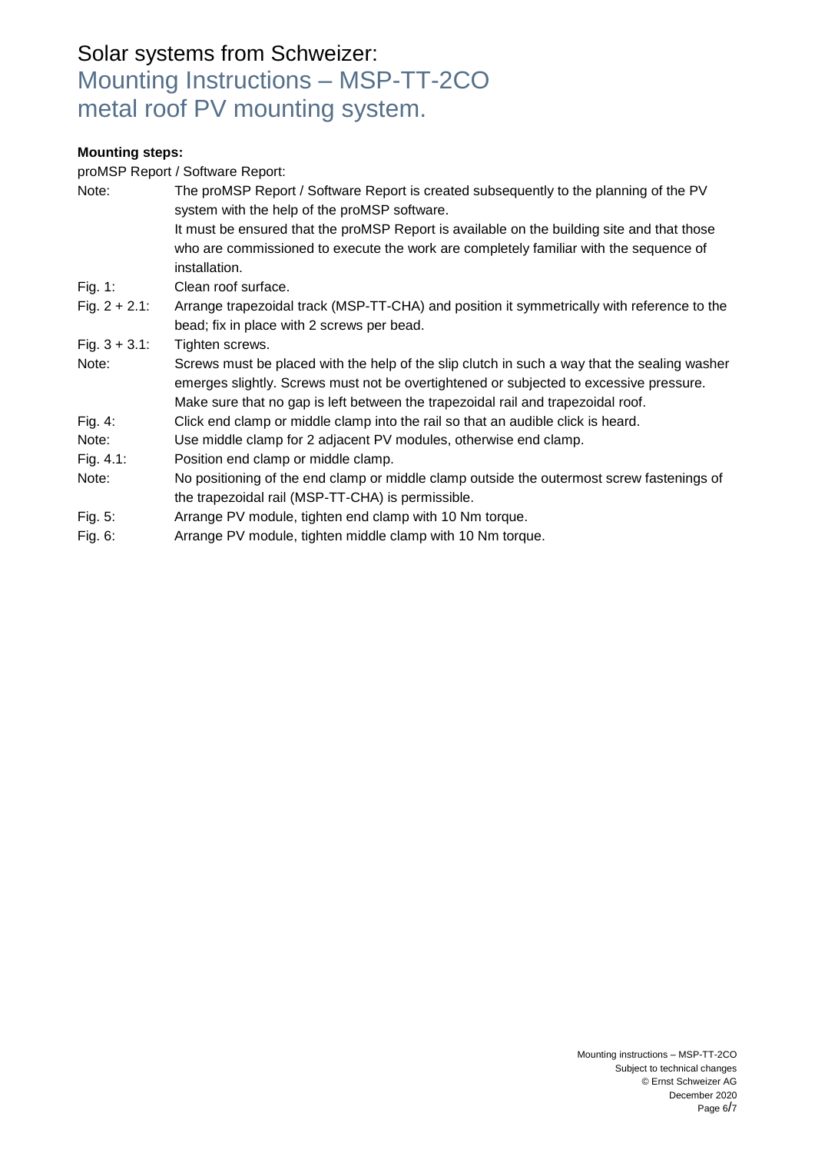#### **Mounting steps:**

proMSP Report / Software Report:

| Note:            | The proMSP Report / Software Report is created subsequently to the planning of the PV<br>system with the help of the proMSP software.<br>It must be ensured that the proMSP Report is available on the building site and that those<br>who are commissioned to execute the work are completely familiar with the sequence of<br>installation. |
|------------------|-----------------------------------------------------------------------------------------------------------------------------------------------------------------------------------------------------------------------------------------------------------------------------------------------------------------------------------------------|
| Fig. 1:          | Clean roof surface.                                                                                                                                                                                                                                                                                                                           |
| Fig. $2 + 2.1$ : | Arrange trapezoidal track (MSP-TT-CHA) and position it symmetrically with reference to the<br>bead; fix in place with 2 screws per bead.                                                                                                                                                                                                      |
| Fig. $3 + 3.1$ : | Tighten screws.                                                                                                                                                                                                                                                                                                                               |
| Note:            | Screws must be placed with the help of the slip clutch in such a way that the sealing washer<br>emerges slightly. Screws must not be overtightened or subjected to excessive pressure.<br>Make sure that no gap is left between the trapezoidal rail and trapezoidal roof.                                                                    |
| Fig. $4$ :       | Click end clamp or middle clamp into the rail so that an audible click is heard.                                                                                                                                                                                                                                                              |
| Note:            | Use middle clamp for 2 adjacent PV modules, otherwise end clamp.                                                                                                                                                                                                                                                                              |
| Fig. $4.1$ :     | Position end clamp or middle clamp.                                                                                                                                                                                                                                                                                                           |
| Note:            | No positioning of the end clamp or middle clamp outside the outermost screw fastenings of<br>the trapezoidal rail (MSP-TT-CHA) is permissible.                                                                                                                                                                                                |
| Fig. 5:          | Arrange PV module, tighten end clamp with 10 Nm torque.                                                                                                                                                                                                                                                                                       |
| Fig. 6:          | Arrange PV module, tighten middle clamp with 10 Nm torque.                                                                                                                                                                                                                                                                                    |